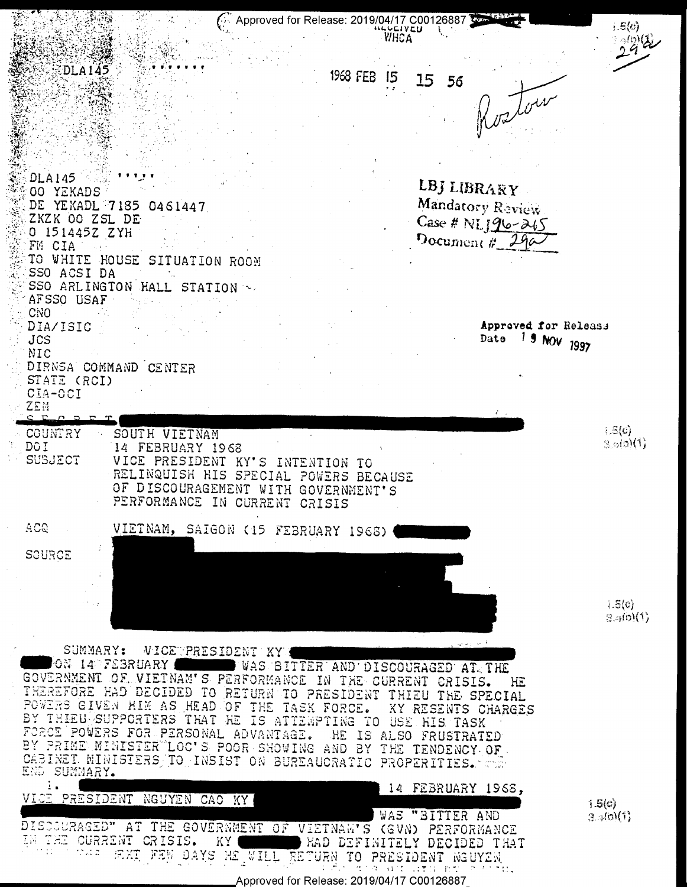

Approved for Release: 2019/04/17 C00126887